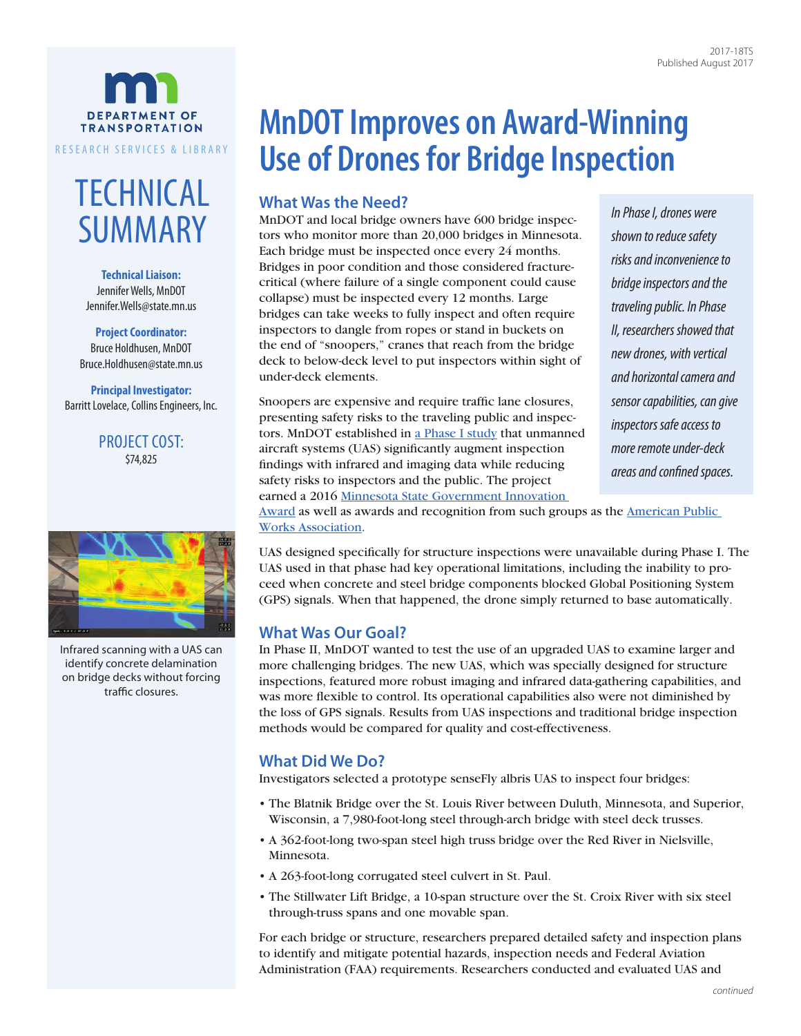

# **TECHNICAL** SUMMARY

**Technical Liaison:** Jennifer Wells, MnDOT [Jennifer.Wells@state.mn.us](mailto:Jennifer.Wells@state.mn.us)

#### **Project Coordinator:**

Bruce Holdhusen, MnDOT [Bruce.Holdhusen@state.mn.us](mailto:Bruce.Holdhusen@state.mn.us)

**Principal Investigator:** Barritt Lovelace, Collins Engineers, Inc.

## PROJECT COST: \$74,825



Infrared scanning with a UAS can identify concrete delamination on bridge decks without forcing traffic closures.

# **MnDOT Improves on Award-Winning Use of Drones for Bridge Inspection**

## **What Was the Need?**

MnDOT and local bridge owners have 600 bridge inspectors who monitor more than 20,000 bridges in Minnesota. Each bridge must be inspected once every 24 months. Bridges in poor condition and those considered fracturecritical (where failure of a single component could cause collapse) must be inspected every 12 months. Large bridges can take weeks to fully inspect and often require inspectors to dangle from ropes or stand in buckets on the end of "snoopers," cranes that reach from the bridge deck to below-deck level to put inspectors within sight of under-deck elements.

Snoopers are expensive and require traffic lane closures, presenting safety risks to the traveling public and inspectors. MnDOT established in [a Phase I study](http://www.dot.state.mn.us/research/TS/2015/201540TS.pdf) that unmanned aircraft systems (UAS) significantly augment inspection findings with infrared and imaging data while reducing safety risks to inspectors and the public. The project earned a 2016 Minnesota State Government Innovation

*In Phase I, drones were shown to reduce safety risks and inconvenience to bridge inspectors and the traveling public. In Phase II, researchers showed that new drones, with vertical and horizontal camera and sensor capabilities, can give inspectors safe access to more remote under-deck areas and confined spaces.*

[Award](http://sgia.umn.edu/sgia-previous-winners/sgia-award-winning-projects-2016) as well as awards and recognition from such groups as the [American Public](https://www.apwa-mn.org/news/Latest-News/view/293)  [Works Association.](https://www.apwa-mn.org/news/Latest-News/view/293)

UAS designed specifically for structure inspections were unavailable during Phase I. The UAS used in that phase had key operational limitations, including the inability to proceed when concrete and steel bridge components blocked Global Positioning System (GPS) signals. When that happened, the drone simply returned to base automatically.

## **What Was Our Goal?**

In Phase II, MnDOT wanted to test the use of an upgraded UAS to examine larger and more challenging bridges. The new UAS, which was specially designed for structure inspections, featured more robust imaging and infrared data-gathering capabilities, and was more flexible to control. Its operational capabilities also were not diminished by the loss of GPS signals. Results from UAS inspections and traditional bridge inspection methods would be compared for quality and cost-effectiveness.

## **What Did We Do?**

Investigators selected a prototype senseFly albris UAS to inspect four bridges:

- The Blatnik Bridge over the St. Louis River between Duluth, Minnesota, and Superior, Wisconsin, a 7,980-foot-long steel through-arch bridge with steel deck trusses.
- A 362-foot-long two-span steel high truss bridge over the Red River in Nielsville, Minnesota.
- A 263-foot-long corrugated steel culvert in St. Paul.
- The Stillwater Lift Bridge, a 10-span structure over the St. Croix River with six steel through-truss spans and one movable span.

For each bridge or structure, researchers prepared detailed safety and inspection plans to identify and mitigate potential hazards, inspection needs and Federal Aviation Administration (FAA) requirements. Researchers conducted and evaluated UAS and